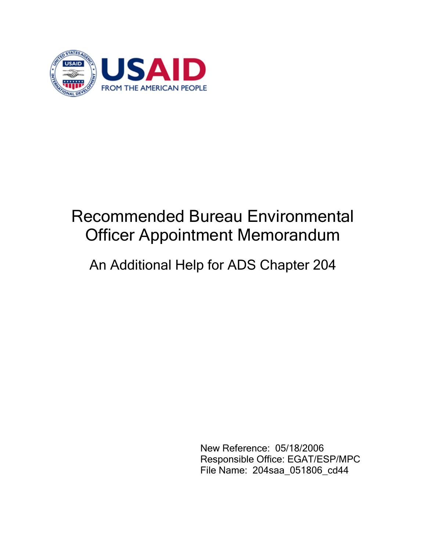

## Recommended Bureau Environmental Officer Appointment Memorandum

## An Additional Help for ADS Chapter 204

 New Reference: 05/18/2006 Responsible Office: EGAT/ESP/MPC File Name: 204saa\_051806\_cd44